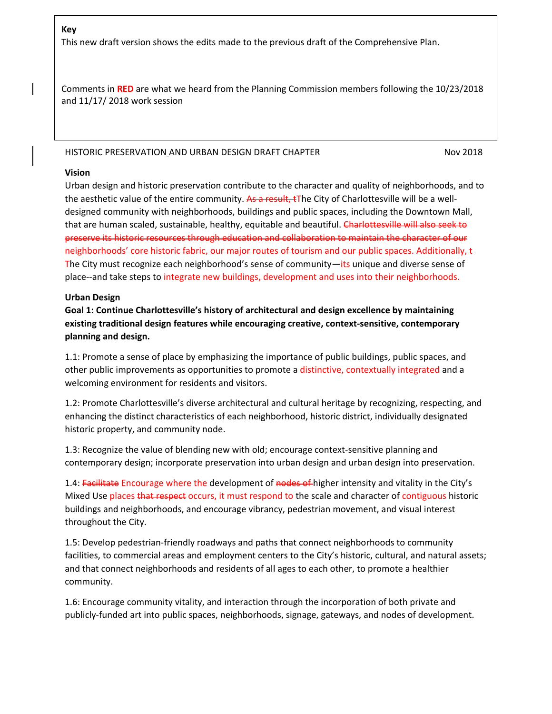## **Key**

This new draft version shows the edits made to the previous draft of the Comprehensive Plan.

Comments in **RED** are what we heard from the Planning Commission members following the 10/23/2018 and 11/17/ 2018 work session

#### HISTORIC PRESERVATION AND URBAN DESIGN DRAFT CHAPTER NOW 2018

#### **Vision**

Urban design and historic preservation contribute to the character and quality of neighborhoods, and to the aesthetic value of the entire community. As a result, tThe City of Charlottesville will be a welldesigned community with neighborhoods, buildings and public spaces, including the Downtown Mall, that are human scaled, sustainable, healthy, equitable and beautiful. Charlottesville will also seek to preserve its historic resources through education and collaboration to maintain the character of our neighborhoods' core historic fabric, our major routes of tourism and our public spaces. Additionally, t The City must recognize each neighborhood's sense of community—its unique and diverse sense of place--and take steps to integrate new buildings, development and uses into their neighborhoods.

### **Urban Design**

**Goal 1: Continue Charlottesville's history of architectural and design excellence by maintaining existing traditional design features while encouraging creative, context-sensitive, contemporary planning and design.**

1.1: Promote a sense of place by emphasizing the importance of public buildings, public spaces, and other public improvements as opportunities to promote a distinctive, contextually integrated and a welcoming environment for residents and visitors.

1.2: Promote Charlottesville's diverse architectural and cultural heritage by recognizing, respecting, and enhancing the distinct characteristics of each neighborhood, historic district, individually designated historic property, and community node.

1.3: Recognize the value of blending new with old; encourage context-sensitive planning and contemporary design; incorporate preservation into urban design and urban design into preservation.

1.4: Facilitate Encourage where the development of nodes of higher intensity and vitality in the City's Mixed Use places that respect occurs, it must respond to the scale and character of contiguous historic buildings and neighborhoods, and encourage vibrancy, pedestrian movement, and visual interest throughout the City.

1.5: Develop pedestrian-friendly roadways and paths that connect neighborhoods to community facilities, to commercial areas and employment centers to the City's historic, cultural, and natural assets; and that connect neighborhoods and residents of all ages to each other, to promote a healthier community.

1.6: Encourage community vitality, and interaction through the incorporation of both private and publicly-funded art into public spaces, neighborhoods, signage, gateways, and nodes of development.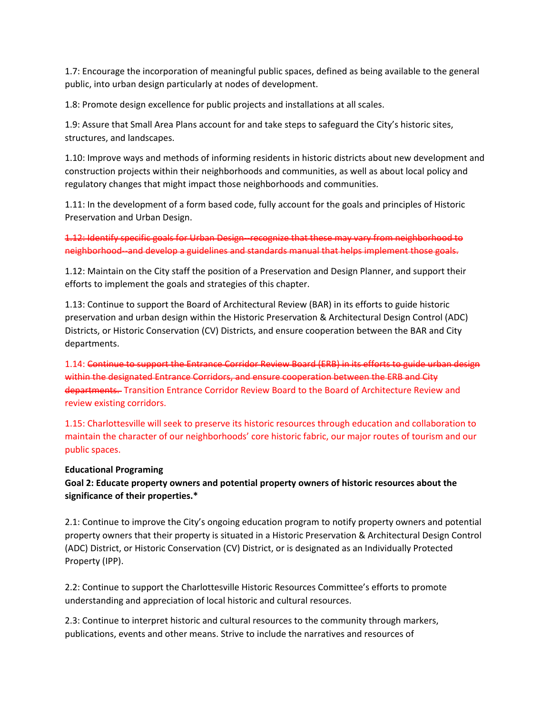1.7: Encourage the incorporation of meaningful public spaces, defined as being available to the general public, into urban design particularly at nodes of development.

1.8: Promote design excellence for public projects and installations at all scales.

1.9: Assure that Small Area Plans account for and take steps to safeguard the City's historic sites, structures, and landscapes.

1.10: Improve ways and methods of informing residents in historic districts about new development and construction projects within their neighborhoods and communities, as well as about local policy and regulatory changes that might impact those neighborhoods and communities.

1.11: In the development of a form based code, fully account for the goals and principles of Historic Preservation and Urban Design.

1.12: Identify specific goals for Urban Design--recognize that these may vary from neighborhood to neighborhood--and develop a guidelines and standards manual that helps implement those goals.

1.12: Maintain on the City staff the position of a Preservation and Design Planner, and support their efforts to implement the goals and strategies of this chapter.

1.13: Continue to support the Board of Architectural Review (BAR) in its efforts to guide historic preservation and urban design within the Historic Preservation & Architectural Design Control (ADC) Districts, or Historic Conservation (CV) Districts, and ensure cooperation between the BAR and City departments.

1.14: Continue to support the Entrance Corridor Review Board (ERB) in its efforts to guide urban design within the designated Entrance Corridors, and ensure cooperation between the ERB and City departments. Transition Entrance Corridor Review Board to the Board of Architecture Review and review existing corridors.

1.15: Charlottesville will seek to preserve its historic resources through education and collaboration to maintain the character of our neighborhoods' core historic fabric, our major routes of tourism and our public spaces.

## **Educational Programing**

**Goal 2: Educate property owners and potential property owners of historic resources about the significance of their properties.\***

2.1: Continue to improve the City's ongoing education program to notify property owners and potential property owners that their property is situated in a Historic Preservation & Architectural Design Control (ADC) District, or Historic Conservation (CV) District, or is designated as an Individually Protected Property (IPP).

2.2: Continue to support the Charlottesville Historic Resources Committee's efforts to promote understanding and appreciation of local historic and cultural resources.

2.3: Continue to interpret historic and cultural resources to the community through markers, publications, events and other means. Strive to include the narratives and resources of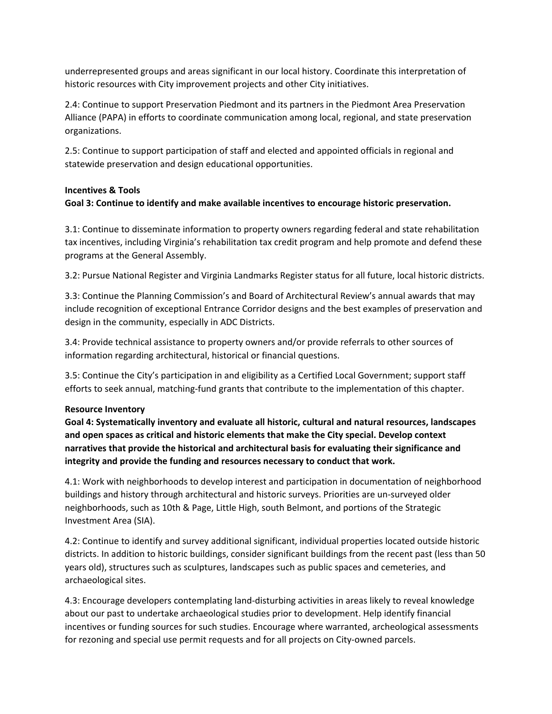underrepresented groups and areas significant in our local history. Coordinate this interpretation of historic resources with City improvement projects and other City initiatives.

2.4: Continue to support Preservation Piedmont and its partners in the Piedmont Area Preservation Alliance (PAPA) in efforts to coordinate communication among local, regional, and state preservation organizations.

2.5: Continue to support participation of staff and elected and appointed officials in regional and statewide preservation and design educational opportunities.

# **Incentives & Tools**

# **Goal 3: Continue to identify and make available incentives to encourage historic preservation.**

3.1: Continue to disseminate information to property owners regarding federal and state rehabilitation tax incentives, including Virginia's rehabilitation tax credit program and help promote and defend these programs at the General Assembly.

3.2: Pursue National Register and Virginia Landmarks Register status for all future, local historic districts.

3.3: Continue the Planning Commission's and Board of Architectural Review's annual awards that may include recognition of exceptional Entrance Corridor designs and the best examples of preservation and design in the community, especially in ADC Districts.

3.4: Provide technical assistance to property owners and/or provide referrals to other sources of information regarding architectural, historical or financial questions.

3.5: Continue the City's participation in and eligibility as a Certified Local Government; support staff efforts to seek annual, matching-fund grants that contribute to the implementation of this chapter.

## **Resource Inventory**

**Goal 4: Systematically inventory and evaluate all historic, cultural and natural resources, landscapes and open spaces as critical and historic elements that make the City special. Develop context narratives that provide the historical and architectural basis for evaluating their significance and integrity and provide the funding and resources necessary to conduct that work.**

4.1: Work with neighborhoods to develop interest and participation in documentation of neighborhood buildings and history through architectural and historic surveys. Priorities are un-surveyed older neighborhoods, such as 10th & Page, Little High, south Belmont, and portions of the Strategic Investment Area (SIA).

4.2: Continue to identify and survey additional significant, individual properties located outside historic districts. In addition to historic buildings, consider significant buildings from the recent past (less than 50 years old), structures such as sculptures, landscapes such as public spaces and cemeteries, and archaeological sites.

4.3: Encourage developers contemplating land-disturbing activities in areas likely to reveal knowledge about our past to undertake archaeological studies prior to development. Help identify financial incentives or funding sources for such studies. Encourage where warranted, archeological assessments for rezoning and special use permit requests and for all projects on City-owned parcels.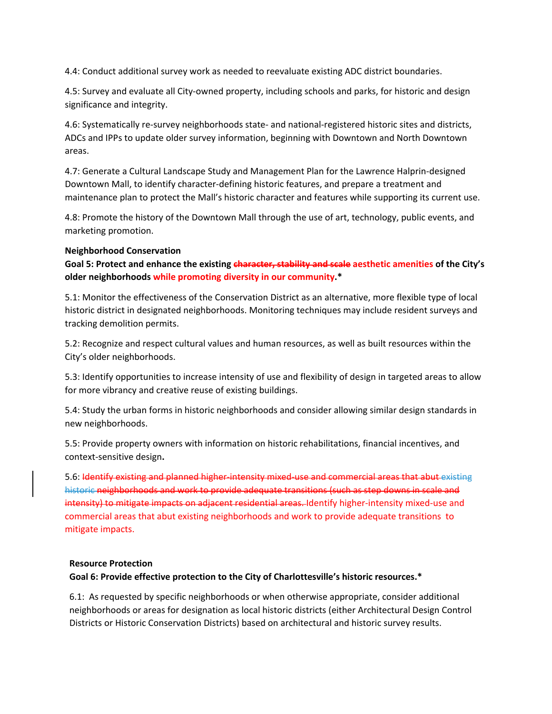4.4: Conduct additional survey work as needed to reevaluate existing ADC district boundaries.

4.5: Survey and evaluate all City-owned property, including schools and parks, for historic and design significance and integrity.

4.6: Systematically re-survey neighborhoods state- and national-registered historic sites and districts, ADCs and IPPs to update older survey information, beginning with Downtown and North Downtown areas.

4.7: Generate a Cultural Landscape Study and Management Plan for the Lawrence Halprin-designed Downtown Mall, to identify character-defining historic features, and prepare a treatment and maintenance plan to protect the Mall's historic character and features while supporting its current use.

4.8: Promote the history of the Downtown Mall through the use of art, technology, public events, and marketing promotion.

## **Neighborhood Conservation**

**Goal 5: Protect and enhance the existing character, stability and scale aesthetic amenities of the City's older neighborhoods while promoting diversity in our community.\***

5.1: Monitor the effectiveness of the Conservation District as an alternative, more flexible type of local historic district in designated neighborhoods. Monitoring techniques may include resident surveys and tracking demolition permits.

5.2: Recognize and respect cultural values and human resources, as well as built resources within the City's older neighborhoods.

5.3: Identify opportunities to increase intensity of use and flexibility of design in targeted areas to allow for more vibrancy and creative reuse of existing buildings.

5.4: Study the urban forms in historic neighborhoods and consider allowing similar design standards in new neighborhoods.

5.5: Provide property owners with information on historic rehabilitations, financial incentives, and context-sensitive design**.**

5.6: Identify existing and planned higher-intensity mixed-use and commercial areas that abut existing historic neighborhoods and work to provide adequate transitions (such as step downs in scale and intensity) to mitigate impacts on adjacent residential areas. Identify higher-intensity mixed-use and commercial areas that abut existing neighborhoods and work to provide adequate transitions to mitigate impacts.

## **Resource Protection**

# **Goal 6: Provide effective protection to the City of Charlottesville's historic resources.\***

6.1: As requested by specific neighborhoods or when otherwise appropriate, consider additional neighborhoods or areas for designation as local historic districts (either Architectural Design Control Districts or Historic Conservation Districts) based on architectural and historic survey results.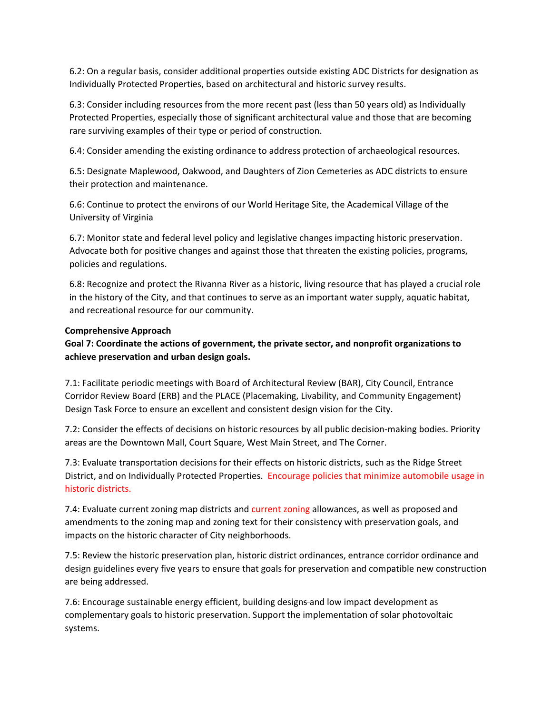6.2: On a regular basis, consider additional properties outside existing ADC Districts for designation as Individually Protected Properties, based on architectural and historic survey results.

6.3: Consider including resources from the more recent past (less than 50 years old) as Individually Protected Properties, especially those of significant architectural value and those that are becoming rare surviving examples of their type or period of construction.

6.4: Consider amending the existing ordinance to address protection of archaeological resources.

6.5: Designate Maplewood, Oakwood, and Daughters of Zion Cemeteries as ADC districts to ensure their protection and maintenance.

6.6: Continue to protect the environs of our World Heritage Site, the Academical Village of the University of Virginia

6.7: Monitor state and federal level policy and legislative changes impacting historic preservation. Advocate both for positive changes and against those that threaten the existing policies, programs, policies and regulations.

6.8: Recognize and protect the Rivanna River as a historic, living resource that has played a crucial role in the history of the City, and that continues to serve as an important water supply, aquatic habitat, and recreational resource for our community.

### **Comprehensive Approach**

# **Goal 7: Coordinate the actions of government, the private sector, and nonprofit organizations to achieve preservation and urban design goals.**

7.1: Facilitate periodic meetings with Board of Architectural Review (BAR), City Council, Entrance Corridor Review Board (ERB) and the PLACE (Placemaking, Livability, and Community Engagement) Design Task Force to ensure an excellent and consistent design vision for the City.

7.2: Consider the effects of decisions on historic resources by all public decision-making bodies. Priority areas are the Downtown Mall, Court Square, West Main Street, and The Corner.

7.3: Evaluate transportation decisions for their effects on historic districts, such as the Ridge Street District, and on Individually Protected Properties. Encourage policies that minimize automobile usage in historic districts.

7.4: Evaluate current zoning map districts and current zoning allowances, as well as proposed and amendments to the zoning map and zoning text for their consistency with preservation goals, and impacts on the historic character of City neighborhoods.

7.5: Review the historic preservation plan, historic district ordinances, entrance corridor ordinance and design guidelines every five years to ensure that goals for preservation and compatible new construction are being addressed.

7.6: Encourage sustainable energy efficient, building designs-and low impact development as complementary goals to historic preservation. Support the implementation of solar photovoltaic systems.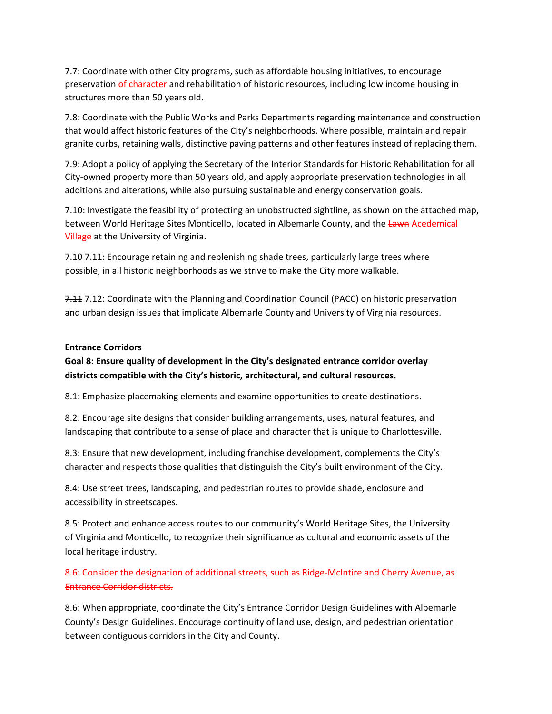7.7: Coordinate with other City programs, such as affordable housing initiatives, to encourage preservation of character and rehabilitation of historic resources, including low income housing in structures more than 50 years old.

7.8: Coordinate with the Public Works and Parks Departments regarding maintenance and construction that would affect historic features of the City's neighborhoods. Where possible, maintain and repair granite curbs, retaining walls, distinctive paving patterns and other features instead of replacing them.

7.9: Adopt a policy of applying the Secretary of the Interior Standards for Historic Rehabilitation for all City-owned property more than 50 years old, and apply appropriate preservation technologies in all additions and alterations, while also pursuing sustainable and energy conservation goals.

7.10: Investigate the feasibility of protecting an unobstructed sightline, as shown on the attached map, between World Heritage Sites Monticello, located in Albemarle County, and the Lawn Acedemical Village at the University of Virginia.

7.10 7.11: Encourage retaining and replenishing shade trees, particularly large trees where possible, in all historic neighborhoods as we strive to make the City more walkable.

7.11 7.12: Coordinate with the Planning and Coordination Council (PACC) on historic preservation and urban design issues that implicate Albemarle County and University of Virginia resources.

## **Entrance Corridors**

**Goal 8: Ensure quality of development in the City's designated entrance corridor overlay districts compatible with the City's historic, architectural, and cultural resources.**

8.1: Emphasize placemaking elements and examine opportunities to create destinations.

8.2: Encourage site designs that consider building arrangements, uses, natural features, and landscaping that contribute to a sense of place and character that is unique to Charlottesville.

8.3: Ensure that new development, including franchise development, complements the City's character and respects those qualities that distinguish the City's built environment of the City.

8.4: Use street trees, landscaping, and pedestrian routes to provide shade, enclosure and accessibility in streetscapes.

8.5: Protect and enhance access routes to our community's World Heritage Sites, the University of Virginia and Monticello, to recognize their significance as cultural and economic assets of the local heritage industry.

8.6: Consider the designation of additional streets, such as Ridge-McIntire and Cherry Avenue, as Entrance Corridor districts.

8.6: When appropriate, coordinate the City's Entrance Corridor Design Guidelines with Albemarle County's Design Guidelines. Encourage continuity of land use, design, and pedestrian orientation between contiguous corridors in the City and County.